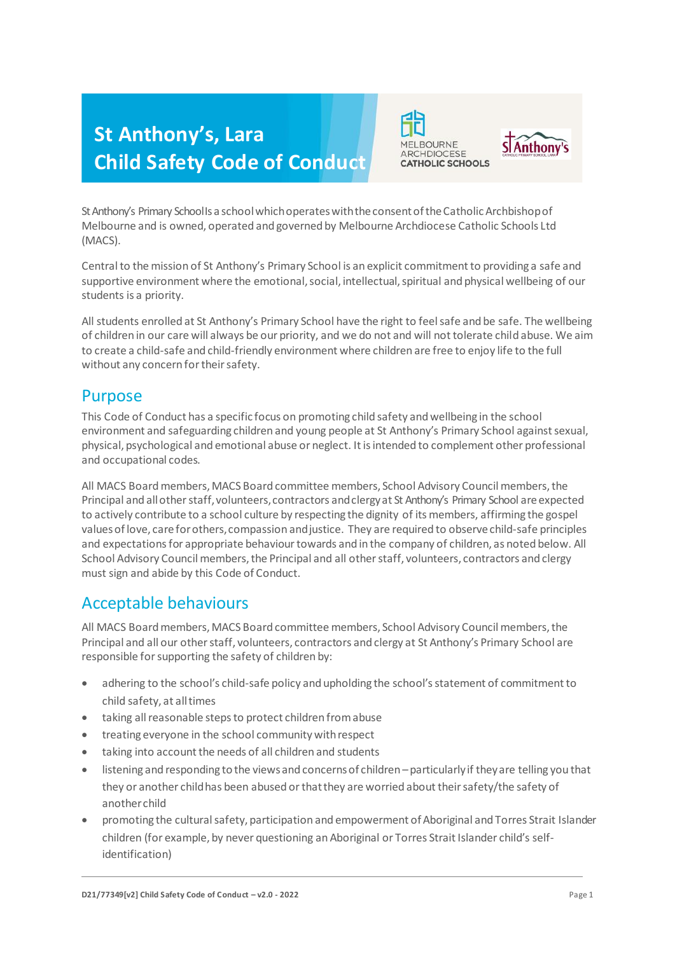# **St Anthony's, Lara Child Safety Code of Conduct**





St Anthony's Primary School Is a school which operates with the consent of the Catholic Archbishop of Melbourne and is owned, operated and governed by Melbourne Archdiocese Catholic Schools Ltd (MACS).

Central to the mission of St Anthony's Primary School is an explicit commitment to providing a safe and supportive environment where the emotional, social, intellectual, spiritual and physical wellbeing of our students is a priority.

All students enrolled at St Anthony's Primary School have the right to feel safe and be safe. The wellbeing of children in our care will always be our priority, and we do not and will not tolerate child abuse. We aim to create a child-safe and child-friendly environment where children are free to enjoy life to the full without any concern for their safety.

#### Purpose

This Code of Conduct has a specific focus on promoting child safety and wellbeing in the school environment and safeguarding children and young people at St Anthony's Primary School against sexual, physical, psychological and emotional abuse or neglect. It is intended to complement other professional and occupational codes.

All MACS Board members, MACS Board committee members, School Advisory Council members, the Principal and all other staff, volunteers, contractors and clergy at St Anthony's Primary School are expected to actively contribute to a school culture by respecting the dignity of its members, affirming the gospel values of love, care for others, compassion and justice. They are required to observe child-safe principles and expectations for appropriate behaviour towards and in the company of children, as noted below. All School Advisory Council members, the Principal and all other staff, volunteers, contractors and clergy must sign and abide by this Code of Conduct.

## Acceptable behaviours

All MACS Board members, MACS Board committee members, School Advisory Council members, the Principal and all our other staff, volunteers, contractors and clergy at St Anthony's Primary School are responsible for supporting the safety of children by:

- adhering to the school's child-safe policy and upholding the school's statement of commitment to child safety, at alltimes
- taking all reasonable steps to protect children fromabuse
- **•** treating everyone in the school community with respect
- taking into account the needs of all children and students
- listening and responding to the viewsand concernsof children –particularlyif theyare telling you that they or another childhas been abused orthatthey are worried about their safety/the safety of anotherchild
- promoting the cultural safety, participation and empowerment of Aboriginal and Torres Strait Islander children (for example, by never questioning an Aboriginal or Torres Strait Islander child's selfidentification)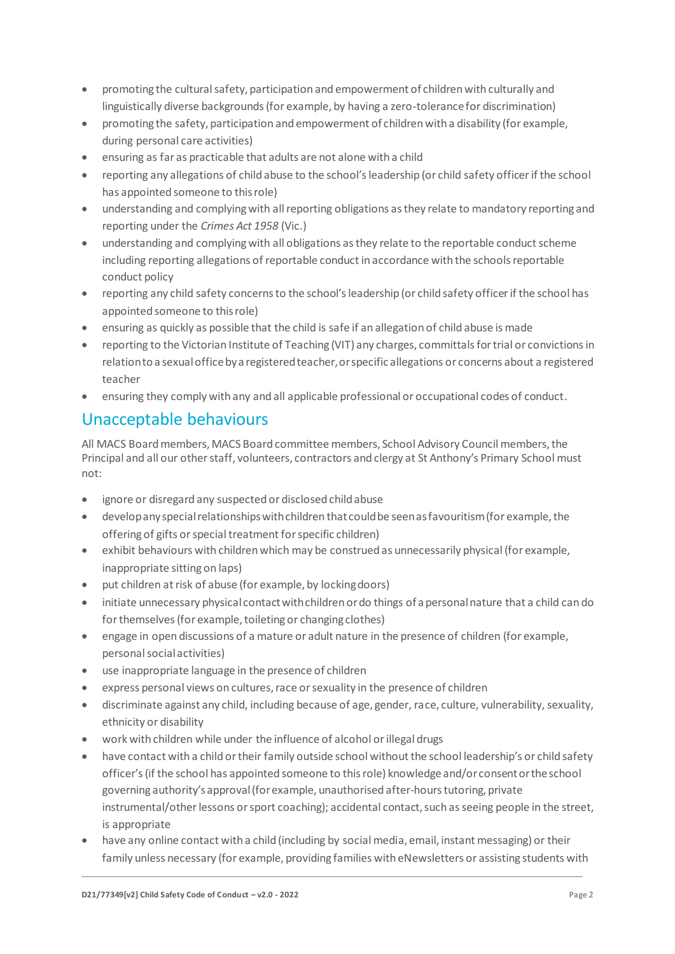- promoting the cultural safety, participation and empowerment of children with culturally and linguistically diverse backgrounds (for example, by having a zero-tolerance for discrimination)
- promoting the safety, participation and empowerment of children with a disability (for example, during personal care activities)
- ensuring as far as practicable that adults are not alone with a child
- reporting any allegations of child abuse to the school's leadership (or child safety officer if the school has appointed someone to thisrole)
- understanding and complying with all reporting obligations as they relate to mandatory reporting and reporting under the *Crimes Act 1958* (Vic.)
- understanding and complying with all obligations as they relate to the reportable conduct scheme including reporting allegations of reportable conduct in accordance with the schools reportable conduct policy
- reporting any child safety concerns to the school's leadership (or child safety officer if the school has appointed someone to thisrole)
- ensuring as quickly as possible that the child is safe if an allegation of child abuse is made
- reporting to the Victorian Institute of Teaching (VIT) any charges, committals for trial or convictionsin relation to a sexual office by a registered teacher, or specific allegations or concerns about a registered teacher
- ensuring they comply with any and all applicable professional or occupational codes of conduct.

## Unacceptable behaviours

All MACS Board members, MACS Board committee members, School Advisory Council members, the Principal and all our other staff, volunteers, contractors and clergy at St Anthony's Primary School must not:

- ignore or disregard any suspected or disclosed childabuse
- developanyspecialrelationshipswithchildren that couldbe seenasfavouritism(for example, the offering of gifts or special treatment for specific children)
- exhibit behaviours with children which may be construed as unnecessarily physical (for example, inappropriate sitting on laps)
- put children at risk of abuse (for example, by lockingdoors)
- initiate unnecessary physical contactwithchildren ordo things of a personalnature that a child can do for themselves (for example, toileting or changing clothes)
- engage in open discussions of a mature or adult nature in the presence of children (for example, personal socialactivities)
- use inappropriate language in the presence of children
- express personal views on cultures, race or sexuality in the presence of children
- discriminate against any child, including because of age, gender, race, culture, vulnerability, sexuality, ethnicity or disability
- work with children while under the influence of alcohol or illegal drugs
- have contact with a child or their family outside school without the school leadership's or child safety officer's (if the school has appointed someone to this role) knowledge and/orconsentortheschool governing authority'sapproval(forexample, unauthorised after-hours tutoring, private instrumental/other lessons or sport coaching); accidental contact, such as seeing people in the street, is appropriate
- have any online contact with a child (including by social media, email, instant messaging) or their family unless necessary (for example, providing families with eNewsletters or assisting students with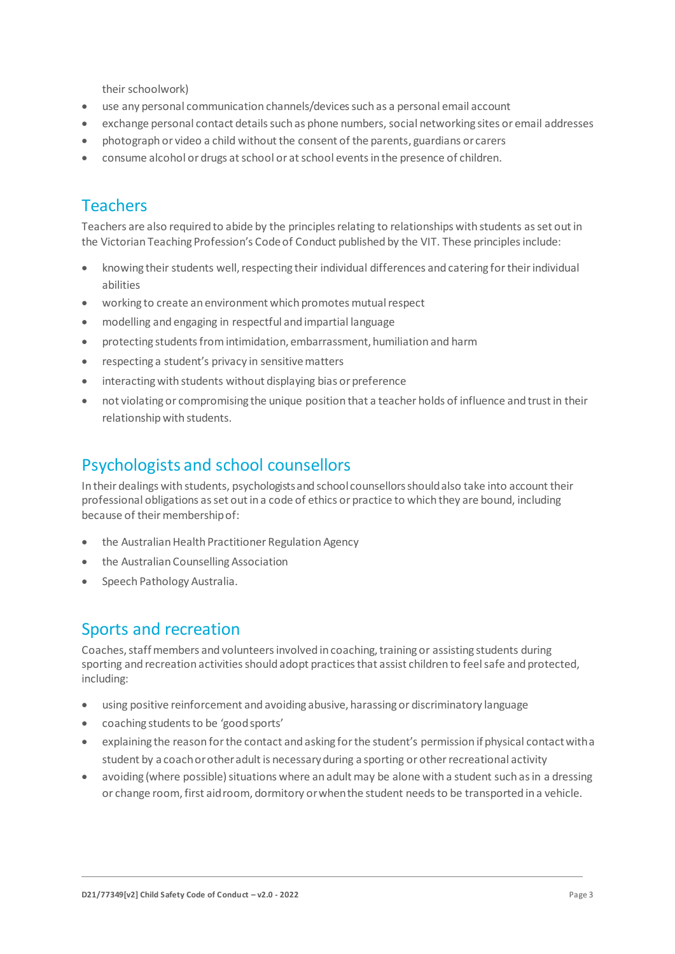their schoolwork)

- use any personal communication channels/devices such as a personal email account
- exchange personal contact details such as phone numbers, social networking sites or email addresses
- photograph or video a child without the consent of the parents, guardians orcarers
- consume alcohol or drugs at school or at school events in the presence of children.

## Teachers

Teachers are also required to abide by the principles relating to relationships with students as set out in the Victorian Teaching Profession's Code of Conduct published by the VIT. These principles include:

- knowing their students well, respecting their individual differences and catering for their individual abilities
- working to create an environment which promotes mutual respect
- modelling and engaging in respectful and impartial language
- protecting students from intimidation, embarrassment, humiliation and harm
- respecting a student's privacy in sensitive matters
- interacting with students without displaying bias or preference
- not violating or compromising the unique position that a teacher holds of influence and trust in their relationship with students.

## Psychologists and school counsellors

In their dealings with students, psychologists and school counsellorsshouldalso take into account their professional obligations as set out in a code of ethics or practice to which they are bound, including because of their membershipof:

- the Australian Health Practitioner Regulation Agency
- the Australian Counselling Association
- Speech Pathology Australia.

#### Sports and recreation

Coaches, staff members and volunteers involved in coaching, training or assisting students during sporting and recreation activities should adopt practices that assist children to feel safe and protected, including:

- using positive reinforcement and avoiding abusive, harassing or discriminatory language
- coaching students to be 'goodsports'
- explaining the reason for the contact and asking for the student's permission if physical contactwitha student by a coachorotheradult is necessaryduring a sporting or other recreational activity
- avoiding (where possible) situations where an adult may be alone with a student such as in a dressing or change room,first aidroom, dormitory orwhenthe student needsto be transported in a vehicle.